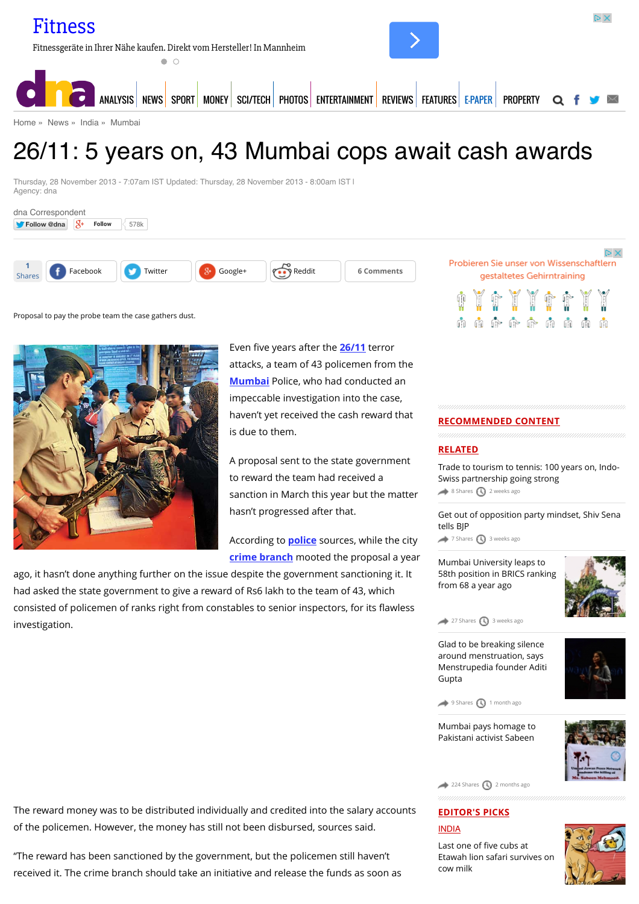[Home](http://www.dnaindia.com/) » [News](http://www.dnaindia.com/news) » [India](http://www.dnaindia.com/india) » [Mumbai](http://www.dnaindia.com/mumbai)

# 26/11: 5 years on, 43 Mumbai cops await cash awards

Thursday, 28 November 2013 - 7:07am IST Updated: Thursday, 28 November 2013 - 8:00am IST | Agency: dna



Proposal to pay the probe team the case gathers dust.



Even five years after the **[26/11](http://www.dnaindia.com/topic/2611)** terror attacks, a team of 43 policemen from the **[Mumbai](http://www.dnaindia.com/topic/mumbai)** Police, who had conducted an impeccable investigation into the case, haven't yet received the cash reward that is due to them.

A proposal sent to the state government to reward the team had received a sanction in March this year but the matter hasn't progressed after that.

According to **[police](http://www.dnaindia.com/topic/police)** sources, while the city **[crime branch](http://www.dnaindia.com/topic/crime-branch)** mooted the proposal a year

ago, it hasn't done anything further on the issue despite the government sanctioning it. It had asked the state government to give a reward of Rs6 lakh to the team of 43, which consisted of policemen of ranks right from constables to senior inspectors, for its flawless investigation.

**RECOMMENDED CONTENT**

#### **RELATED**

[Trade to tourism to tennis: 100 years on, Indo-](http://www.dnaindia.com/mumbai/report-trade-to-tourism-to-tennis-100-years-on-indo-swiss-partnership-going-strong-2105815)Swiss partnership going strong [8 Shares](http://www.dnaindia.com/mumbai/report-2611-5-years-on-43-mumbai-cops-await-cash-awards-1925993#) [2 weeks ago](http://www.dnaindia.com/mumbai/report-2611-5-years-on-43-mumbai-cops-await-cash-awards-1925993#)

而而而命命而而

[Get out of opposition party mindset, Shiv Sena](http://www.dnaindia.com/mumbai/report-get-out-of-opposition-party-mindset-shiv-sena-tells-bjp-2104337) tells BJP

[7 Shares](http://www.dnaindia.com/mumbai/report-2611-5-years-on-43-mumbai-cops-await-cash-awards-1925993#) [3 weeks ago](http://www.dnaindia.com/mumbai/report-2611-5-years-on-43-mumbai-cops-await-cash-awards-1925993#)

Mumbai University leaps to [58th position in BRICS ranking](http://www.dnaindia.com/mumbai/report-mumbai-university-leaps-to-58th-position-in-brics-ranking-from-68-a-year-ago-2103249) from 68 a year ago



 $27$  Shares  $\bigcirc$  [3 weeks ago](http://www.dnaindia.com/mumbai/report-2611-5-years-on-43-mumbai-cops-await-cash-awards-1925993#)

Glad to be breaking silence around menstruation, says [Menstrupedia founder Aditi](http://www.dnaindia.com/mumbai/report-glad-to-be-breaking-silence-around-menstruation-says-menstrupedia-founder-aditi-gupta-2097840) Gupta



[9 Shares](http://www.dnaindia.com/mumbai/report-2611-5-years-on-43-mumbai-cops-await-cash-awards-1925993#) [1 month ago](http://www.dnaindia.com/mumbai/report-2611-5-years-on-43-mumbai-cops-await-cash-awards-1925993#)

[Mumbai pays homage to](http://www.dnaindia.com/mumbai/report-mumbai-pays-homage-to-pakistani-activist-sabeen-2085955) Pakistani activist Sabeen



[224 Shares](http://www.dnaindia.com/mumbai/report-2611-5-years-on-43-mumbai-cops-await-cash-awards-1925993#) [2 months ago](http://www.dnaindia.com/mumbai/report-2611-5-years-on-43-mumbai-cops-await-cash-awards-1925993#)

## **EDITOR'S PICKS** [INDIA](http://www.dnaindia.com/india)

Last one of five cubs at [Etawah lion safari survives on](http://www.dnaindia.com/india/report-last-one-of-five-cubs-at-etawah-lion-safari-survives-on-cow-milk-2109981) cow milk



The reward money was to be distributed individually and credited into the salary accounts of the policemen. However, the money has still not been disbursed, sources said.

"The reward has been sanctioned by the government, but the policemen still haven't received it. The crime branch should take an initiative and release the funds as soon as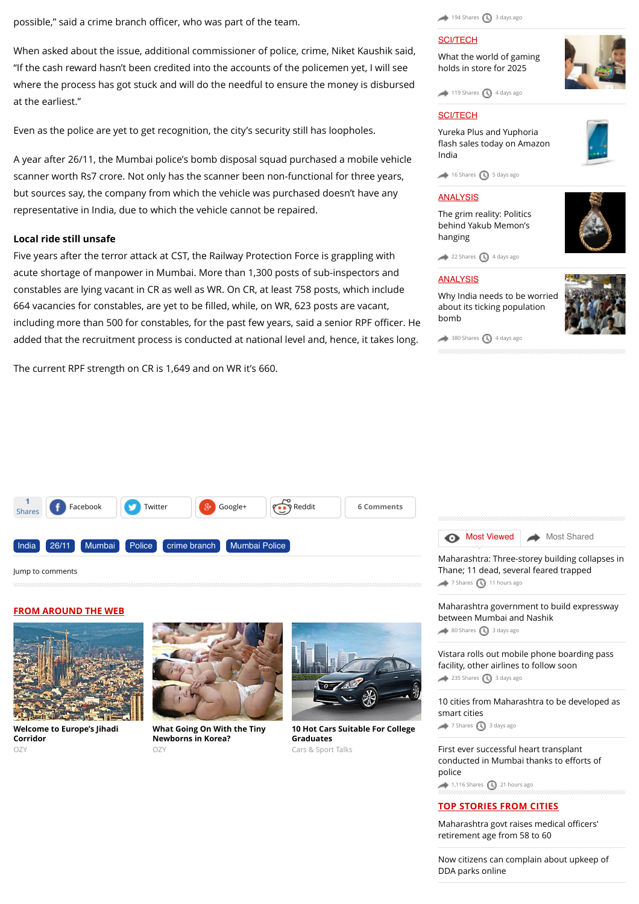possible," said a crime branch officer, who was part of the team.

When asked about the issue, additional commissioner of police, crime, Niket Kaushik said, "If the cash reward hasn't been credited into the accounts of the policemen yet, I will see where the process has got stuck and will do the needful to ensure the money is disbursed at the earliest."

Even as the police are yet to get recognition, the city's security still has loopholes.

A year after 26/11, the Mumbai police's bomb disposal squad purchased a mobile vehicle scanner worth Rs7 crore. Not only has the scanner been non-functional for three years, but sources say, the company from which the vehicle was purchased doesn't have any representative in India, due to which the vehicle cannot be repaired.

#### **Local ride still unsafe**

Five years after the terror attack at CST, the Railway Protection Force is grappling with acute shortage of manpower in Mumbai. More than 1,300 posts of sub-inspectors and constables are lying vacant in CR as well as WR. On CR, at least 758 posts, which include 664 vacancies for constables, are yet to be filled, while, on WR, 623 posts are vacant, including more than 500 for constables, for the past few years, said a senior RPF officer. He added that the recruitment process is conducted at national level and, hence, it takes long.

The current RPF strength on CR is 1,649 and on WR it's 660.

#### $194$  Shares  $\bigcirc$  [3 days ago](http://www.dnaindia.com/mumbai/report-2611-5-years-on-43-mumbai-cops-await-cash-awards-1925993#)

#### [SCI/TECH](http://www.dnaindia.com/scitech)

[What the world of gaming](http://www.dnaindia.com/scitech/report-immersion-is-the-name-of-the-game-2109432) holds in store for 2025

 $119$  Shares  $\bigodot$  [4 days ago](http://www.dnaindia.com/mumbai/report-2611-5-years-on-43-mumbai-cops-await-cash-awards-1925993#)

#### [SCI/TECH](http://www.dnaindia.com/scitech)

Yureka Plus and Yuphoria fl[ash sales today on Amazon](http://www.dnaindia.com/scitech/report-yureka-plus-and-yuphoria-flash-sales-today-on-amazon-india-2109499) India



 $\leftrightarrow$  [16 Shares](http://www.dnaindia.com/mumbai/report-2611-5-years-on-43-mumbai-cops-await-cash-awards-1925993#)  $\bigcirc$  [5 days ago](http://www.dnaindia.com/mumbai/report-2611-5-years-on-43-mumbai-cops-await-cash-awards-1925993#)

#### [ANALYSIS](http://www.dnaindia.com/analysis)

[The grim reality: Politics](http://www.dnaindia.com/analysis/editorial-the-grim-reality-politics-behind-yakub-memon-s-hanging-2109659) behind Yakub Memon's hanging



[22 Shares](http://www.dnaindia.com/mumbai/report-2611-5-years-on-43-mumbai-cops-await-cash-awards-1925993#) [4 days ago](http://www.dnaindia.com/mumbai/report-2611-5-years-on-43-mumbai-cops-await-cash-awards-1925993#)

#### [ANALYSIS](http://www.dnaindia.com/analysis)

[Why India needs to be worried](http://www.dnaindia.com/analysis/editorial-dnaedit-population-bomb-2109662) about its ticking population bomb





#### [Jump to comments](http://www.dnaindia.com/mumbai/report-2611-5-years-on-43-mumbai-cops-await-cash-awards-1925993#comments)

#### **FROM AROUND THE WEB**



**[Welcome to Europe's Jihadi](http://www.ozy.com/fast-forward/welcome-to-europes-jihadi-corridor/60342?utm_source=Outbrain&utm_medium=CPC&utm_campaign=INTL%20-%20All%20Clicks%20ALL%20Devices) Corridor**  $OZY$ 



**[What Going On With the Tiny](http://www.ozy.com/acumen/whats-wrong-with-all-those-little-newborns/40384?utm_source=Outbrain&utm_medium=CPC&utm_campaign=INTL%20-%20All%20Clicks%20ALL%20Devices) Newborns in Korea?** OZY



**[10 Hot Cars Suitable For College](http://fryerschat.com/10-hot-cars-suitable-for-college-graduates/) Graduates** Cars & Sport Talks



[Maharashtra: Three-storey building collapses in](http://www.dnaindia.com/mumbai/report-maharashtra-three-storey-building-collapses-in-thane-11-dead-several-feared-trapped-2110890) Thane; 11 dead, several feared trapped [7 Shares](http://www.dnaindia.com/mumbai/report-2611-5-years-on-43-mumbai-cops-await-cash-awards-1925993#) [11 hours ago](http://www.dnaindia.com/mumbai/report-2611-5-years-on-43-mumbai-cops-await-cash-awards-1925993#)

[Maharashtra government to build expressway](http://www.dnaindia.com/mumbai/report-maharashtra-government-to-build-expressway-between-mumbai-and-nashik-2109935) between Mumbai and Nashik  $\leftrightarrow$  [80 Shares](http://www.dnaindia.com/mumbai/report-2611-5-years-on-43-mumbai-cops-await-cash-awards-1925993#)  $\bigcirc$  [3 days ago](http://www.dnaindia.com/mumbai/report-2611-5-years-on-43-mumbai-cops-await-cash-awards-1925993#)

[Vistara rolls out mobile phone boarding pass](http://www.dnaindia.com/mumbai/report-vistara-rolls-out-mobile-phone-boarding-pass-facility-other-airlines-to-follow-soon-2109930) facility, other airlines to follow soon  $235$  Shares  $\bigcirc$  [3 days ago](http://www.dnaindia.com/mumbai/report-2611-5-years-on-43-mumbai-cops-await-cash-awards-1925993#)

[10 cities from Maharashtra to be developed as](http://www.dnaindia.com/mumbai/report-10-cities-from-maharashtra-to-be-developed-as-smart-cities-2109979) smart cities [7 Shares](http://www.dnaindia.com/mumbai/report-2611-5-years-on-43-mumbai-cops-await-cash-awards-1925993#) [3 days ago](http://www.dnaindia.com/mumbai/report-2611-5-years-on-43-mumbai-cops-await-cash-awards-1925993#)

[First ever successful heart transplant](http://www.dnaindia.com/mumbai/report-first-ever-successful-heart-transplant-conducted-in-mumbai-thanks-to-efforts-of-police-2110832) conducted in Mumbai thanks to efforts of police  $1,116$  Shares  $\bigodot$  [21 hours ago](http://www.dnaindia.com/mumbai/report-2611-5-years-on-43-mumbai-cops-await-cash-awards-1925993#)

#### **TOP STORIES FROM CITIES**

[Maharashtra govt raises medical o](http://www.dnaindia.com/mumbai/report-maharashtra-govt-raises-medical-officers-retirement-age-from-58-to-60-2110999)fficers' retirement age from 58 to 60

[Now citizens can complain about upkeep of](http://www.dnaindia.com/delhi/report-now-citizens-can-complain-about-upkeep-of-dda-parks-online-2110992) DDA parks online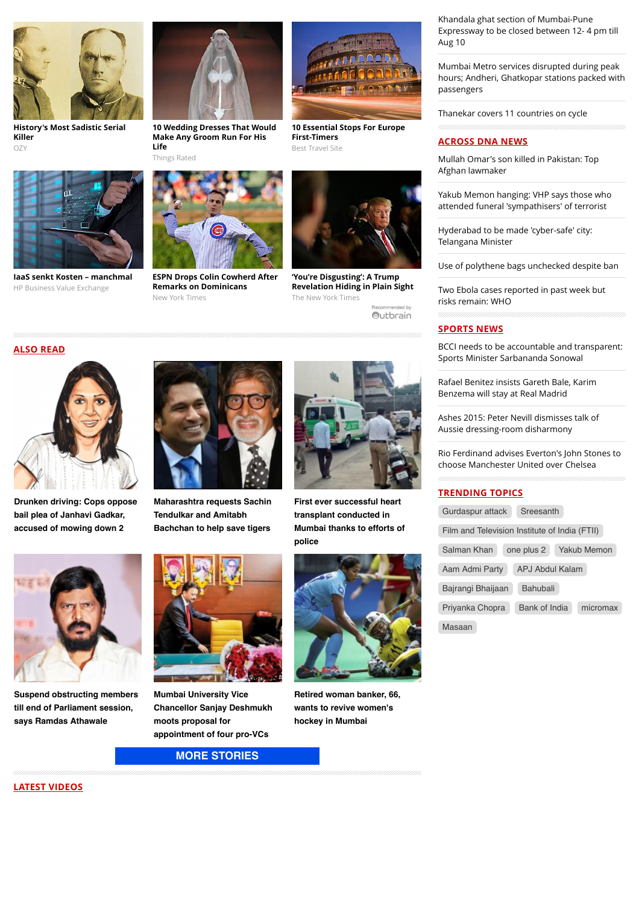

**[History's Most Sadistic Serial](http://www.ozy.com/flashback/historys-most-sadistic-serial-killer/40585?utm_source=Outbrain&utm_medium=CPC&utm_campaign=INTL%20-%20All%20Clicks%20ALL%20Devices) Killer** OZY



**[IaaS senkt Kosten – manchmal](http://businessvalueexchange.com/de/2015/06/23/iaas-senkt-kosten-manchmal/)** HP Business Value Exchange



**[10 Wedding Dresses That Would](http://thingsrated.com/2015/06/25/10-wedding-dresses-that-would-make-any-groom-run-for-his-life/?utm_source=outbrain&utm_medium=cpc&utm_campaign=outbrain_top10_DE&utm_term=4777563) Make Any Groom Run For His Life**



**[ESPN Drops Colin Cowherd After](http://www.nytimes.com/2015/07/25/sports/baseball/colin-cowherd-tries-to-explain-remarks-on-dominicans.html?WT.mc_id=2015-AUGUST-OTB-INTL_AUD_DEV-0801-0831&WT.mc_ev=click&ad-keywords=IntlAudDev) Remarks on Dominicans** New York Times



**[10 Essential Stops For Europe](http://travel-gist.com/10-essential-stops-for-europe-first-timers/)**

**First-Timers** Best Travel Site

**'You're Disgusting': A Trump [Revelation Hiding in Plain Sight](http://www.nytimes.com/times-insider/2015/07/29/youre-disgusting-a-trump-revelation-hiding-in-plain-sight/?WT.mc_id=2015-AUGUST-OTB-INTL_AUD_DEV-0801-0831&WT.mc_ev=click&ad-keywords=IntlAudDev)** The New York Times

.<br>Recommended by Outbrain

**ALSO READ**



**[Drunken driving: Cops oppose](http://www.dnaindia.com/mumbai/report-drunken-driving-cops-oppose-bail-plea-of-janhavi-gadkar-accused-of-mowing-down-2-2110873) bail plea of Janhavi Gadkar, accused of mowing down 2**

**[Suspend obstructing members](http://www.dnaindia.com/mumbai/report-suspend-obstructing-members-till-end-of-parliament-session-says-ramdas-athawale-2110708) till end of Parliament session, says Ramdas Athawale**



**[Maharashtra requests Sachin](http://www.dnaindia.com/mumbai/report-maharashtra-requests-sachin-tendulkar-and-amitabh-bachchan-to-help-save-tigers-2110838) Tendulkar and Amitabh Bachchan to help save tigers**



**First ever successful heart transplant conducted in [Mumbai thanks to efforts of](http://www.dnaindia.com/mumbai/report-first-ever-successful-heart-transplant-conducted-in-mumbai-thanks-to-efforts-of-police-2110832) police**



**[Retired woman banker, 66,](http://www.dnaindia.com/mumbai/report-retired-woman-banker-66-wants-to-revive-women-s-hockey-in-mumbai-2110524) wants to revive women's hockey in Mumbai**

# **[MORE STORIES](http://www.dnaindia.com/mumbai)**

**appointment of four pro-VCs**

**Mumbai University Vice [Chancellor Sanjay Deshmukh](http://www.dnaindia.com/mumbai/report-mumbai-university-vice-chancellor-sanjay-deshmukh-moots-proposal-for-appointment-of-four-pro-vcs-2110578)**

**moots proposal for**

Khandala ghat section of Mumbai-Pune [Expressway to be closed between 12- 4 pm till](http://www.dnaindia.com/mumbai/report-khandala-ghat-section-of-mumbai-pune-expressway-to-be-closed-from-12-4-pm-till-aug-10-2110914) Aug 10

Mumbai Metro services disrupted during peak [hours; Andheri, Ghatkopar stations packed with](http://www.dnaindia.com/mumbai/report-mumbai-metro-services-disrupted-during-peak-hours-andheri-ghatkopar-stations-packed-with-passengers-2110918) passengers

[Thanekar covers 11 countries on cycle](http://www.dnaindia.com/mumbai/report-thanekar-covers-11-countries-on-cycle-2110888)

### **ACROSS DNA NEWS**

[Mullah Omar's son killed in Pakistan: Top](http://www.dnaindia.com/world/report-mullah-omar-s-son-killed-in-pakistan-top-afghan-lawmaker-2111096) Afghan lawmaker

[Yakub Memon hanging: VHP says those who](http://www.dnaindia.com/india/report-yakub-memon-hanging-vhp-says-those-who-attended-funeral-sympathisers-of-terrorist-2111077) attended funeral 'sympathisers' of terrorist

[Hyderabad to be made 'cyber-safe' city:](http://www.dnaindia.com/india/report-hyderabad-to-be-made-cyber-safe-city-telangana-minister-2111084) Telangana Minister

[Use of polythene bags unchecked despite ban](http://www.dnaindia.com/india/report-use-of-polythene-bags-unchecked-despite-ban-2111081)

[Two Ebola cases reported in past week but](http://www.dnaindia.com/world/report-two-ebola-cases-reported-in-past-week-but-risks-remain-who-2111079) risks remain: WHO

#### **SPORTS NEWS**

[BCCI needs to be accountable and transparent:](http://www.dnaindia.com/sport/report-bcci-needs-to-be-accountable-and-transparent-sports-minister-sarbananda-sonowal-2111038) Sports Minister Sarbananda Sonowal

[Rafael Benitez insists Gareth Bale, Karim](http://www.dnaindia.com/sport/report-rafael-benitez-insists-gareth-bale-karim-benzema-will-stay-at-real-madrid-2110989) Benzema will stay at Real Madrid

[Ashes 2015: Peter Nevill dismisses talk of](http://www.dnaindia.com/sport/report-ashes-2015-peter-nevill-dismisses-talk-of-aussie-dressing-room-disharmony-2110984) Aussie dressing-room disharmony

[Rio Ferdinand advises Everton's John Stones to](http://www.dnaindia.com/sport/report-rio-ferdinand-advises-everton-s-john-stones-to-choose-manchester-united-over-chelsea-2110968) choose Manchester United over Chelsea

#### **TRENDING TOPICS**

| Gurdaspur attack<br>Sreesanth                 |
|-----------------------------------------------|
| Film and Television Institute of India (FTII) |
| one plus 2<br>Salman Khan<br>Yakub Memon      |
| APJ Abdul Kalam<br>Aam Admi Party             |
| <b>Bahubali</b><br>Bajrangi Bhaijaan          |
| Bank of India<br>Priyanka Chopra<br>micromax  |
| Masaan                                        |

**LATEST VIDEOS**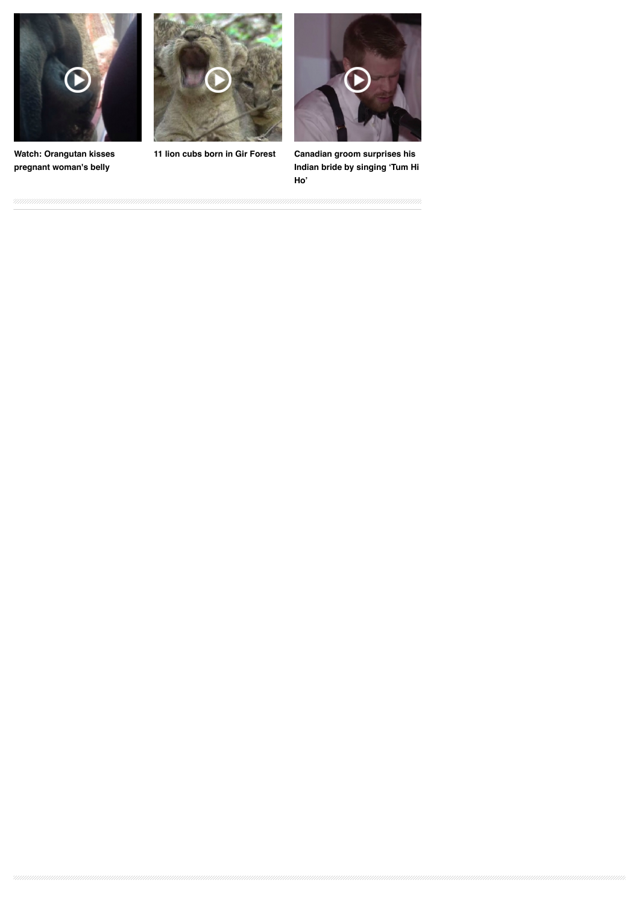

**[Watch: Orangutan kisses](http://www.dnaindia.com/world/video-watch-orangutan-kisses-pregnant-woman-s-belly-2109068) pregnant woman's belly**



**[11 lion cubs born in Gir Forest](http://www.dnaindia.com/india/video-11-lion-cubs-born-in-gir-forest-2105493) Canadian groom surprises his**



**[Indian bride by singing 'Tum Hi](http://www.dnaindia.com/world/video-canadian-groom-surprises-his-indian-bride-by-singing-tum-hi-ho-2104831) Ho'**